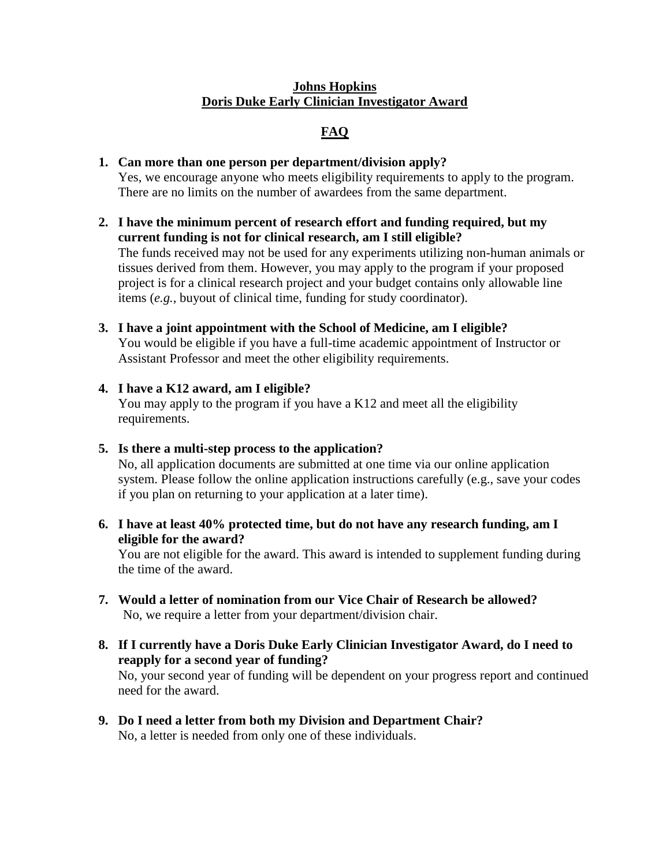## **Johns Hopkins Doris Duke Early Clinician Investigator Award**

# **FAQ**

## **1. Can more than one person per department/division apply?**

Yes, we encourage anyone who meets eligibility requirements to apply to the program. There are no limits on the number of awardees from the same department.

**2. I have the minimum percent of research effort and funding required, but my current funding is not for clinical research, am I still eligible?**

The funds received may not be used for any experiments utilizing non-human animals or tissues derived from them. However, you may apply to the program if your proposed project is for a clinical research project and your budget contains only allowable line items (*e.g.*, buyout of clinical time, funding for study coordinator).

- **3. I have a joint appointment with the School of Medicine, am I eligible?** You would be eligible if you have a full-time academic appointment of Instructor or Assistant Professor and meet the other eligibility requirements.
- **4. I have a K12 award, am I eligible?** You may apply to the program if you have a K12 and meet all the eligibility requirements.
- **5. Is there a multi-step process to the application?** No, all application documents are submitted at one time via our online application system. Please follow the online application instructions carefully (e.g., save your codes if you plan on returning to your application at a later time).
- **6. I have at least 40% protected time, but do not have any research funding, am I eligible for the award?**

You are not eligible for the award. This award is intended to supplement funding during the time of the award.

- **7. Would a letter of nomination from our Vice Chair of Research be allowed?** No, we require a letter from your department/division chair.
- **8. If I currently have a Doris Duke Early Clinician Investigator Award, do I need to reapply for a second year of funding?**

No, your second year of funding will be dependent on your progress report and continued need for the award.

**9. Do I need a letter from both my Division and Department Chair?**  No, a letter is needed from only one of these individuals.